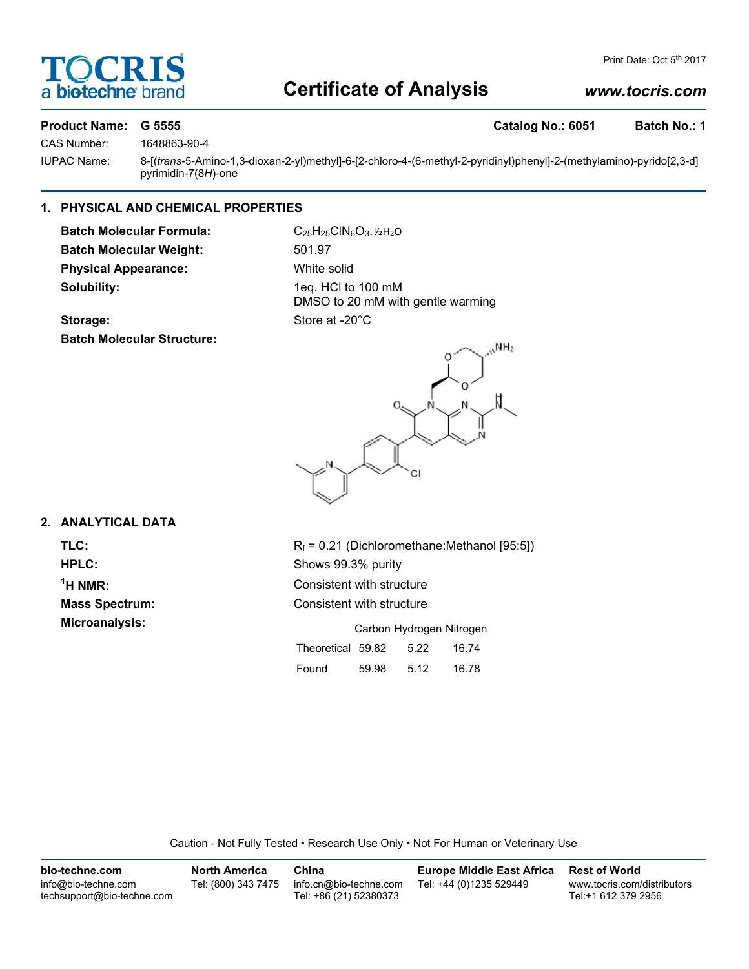# **DCRI** a biotechne

# **Certificate of Analysis**

# *www.tocris.com*

# **Product Name: G 5555 Catalog No.: 6051 Batch No.: 1**

CAS Number: 1648863-90-4

IUPAC Name: 8-[(*trans*-5-Amino-1,3-dioxan-2-yl)methyl]-6-[2-chloro-4-(6-methyl-2-pyridinyl)phenyl]-2-(methylamino)-pyrido[2,3-d] pyrimidin-7(8*H*)-one

# **1. PHYSICAL AND CHEMICAL PROPERTIES**

Batch Molecular Formula: C<sub>25</sub>H<sub>25</sub>ClN<sub>6</sub>O<sub>3</sub>.1/<sub>2</sub>N<sub>2</sub>O **Batch Molecular Weight:** 501.97 **Physical Appearance:** White solid **Solubility:** 1eq. HCl to 100 mM

DMSO to 20 mM with gentle warming

# Storage: Store at -20°C **Batch Molecular Structure:**



# **2. ANALYTICAL DATA**

 $<sup>1</sup>H NMR$ :</sup>

**TLC:**  $R_f = 0.21$  (Dichloromethane:Methanol [95:5]) **HPLC:** Shows 99.3% purity **Consistent with structure Mass Spectrum:** Consistent with structure **Microanalysis:** Carbon Hydrogen Nitrogen Theoretical 59.82 5.22 16.74 Found 59.98 5.12 16.78

Caution - Not Fully Tested • Research Use Only • Not For Human or Veterinary Use

| bio-techne.com                                    | <b>North America</b> | China                                            | <b>Europe Middle East Africa</b> | <b>Rest of World</b>                               |
|---------------------------------------------------|----------------------|--------------------------------------------------|----------------------------------|----------------------------------------------------|
| info@bio-techne.com<br>techsupport@bio-techne.com | Tel: (800) 343 7475  | info.cn@bio-techne.com<br>Tel: +86 (21) 52380373 | Tel: +44 (0)1235 529449          | www.tocris.com/distributors<br>Tel:+1 612 379 2956 |